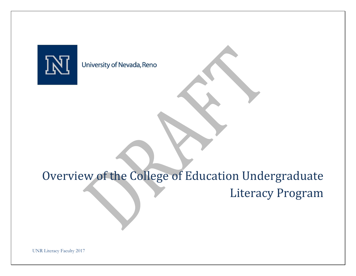

University of Nevada, Reno

# Overview of the College of Education Undergraduate Literacy Program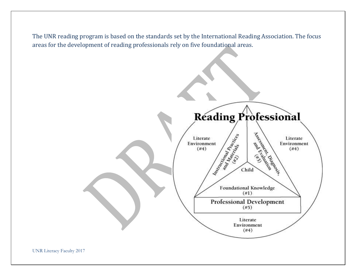The UNR reading program is based on the standards set by the International Reading Association. The focus areas for the development of reading professionals rely on five foundational areas.

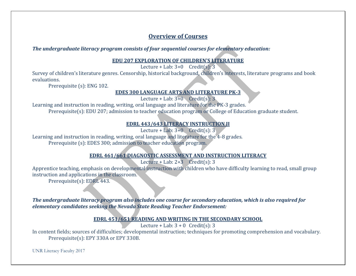# **Overview of Courses**

# *The undergraduate literacy program consists of four sequential courses for elementary education:*

#### **EDU 207 EXPLORATION OF CHILDREN'S LITERATURE**

Lecture + Lab:  $3+0$  Credit(s):  $3$ 

Survey of children's literature genres. Censorship, historical background, children's interests, literature programs and book evaluations.

Prerequisite (s): ENG 102.

## **EDES 300 LANGUAGE ARTS AND LITERATURE PK-3**

Lecture + Lab:  $3+0$  Credit(s): 3

Learning and instruction in reading, writing, oral language and literature for the PK-3 grades. Prerequisite(s): EDU 207; admission to teacher education program or College of Education graduate student.

# **EDRL 443/643 LITERACY INSTRUCTION II**

Lecture + Lab:  $3+0$  Credit(s): 3

Learning and instruction in reading, writing, oral language and literature for the 4-8 grades. Prerequisite (s): EDES 300; admission to teacher education program.

# **EDRL 461/661 DIAGNOSTIC ASSESSMENT AND INSTRUCTION LITERACY**

Lecture + Lab:  $2+3$  Credit(s): 3

Apprentice teaching, emphasis on developmental instruction with children who have difficulty learning to read, small group instruction and applications in the classroom.

Prerequisite(s): EDRL 443.

*The undergraduate literacy program also includes one course for secondary education, which is also required for elementary candidates seeking the Nevada State Reading Teacher Endorsement:*

# **EDRL 451/651 READING AND WRITING IN THE SECONDARY SCHOOL**

Lecture + Lab:  $3 + 0$  Credit(s): 3

In content fields; sources of difficulties; developmental instruction; techniques for promoting comprehension and vocabulary. Prerequisite(s): EPY 330A or EPY 330B.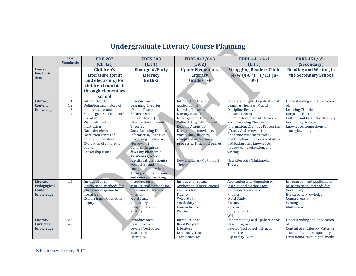|                                                        | <b>IRA</b>               | <b>EDU 207</b>                                                                                                                                                                                                                                                                              | <b>EDES 300</b>                                                                                                                                                                                                                                                                                                                                                                                                                            | <b>EDRL 443/643</b>                                                                                                                                                                                                                                                                                                 | <b>EDRL 441/661</b>                                                                                                                                                                                                                                                                                                                                                                                                                             | <b>EDRL 451/651</b>                                                                                                                                                                                                              |
|--------------------------------------------------------|--------------------------|---------------------------------------------------------------------------------------------------------------------------------------------------------------------------------------------------------------------------------------------------------------------------------------------|--------------------------------------------------------------------------------------------------------------------------------------------------------------------------------------------------------------------------------------------------------------------------------------------------------------------------------------------------------------------------------------------------------------------------------------------|---------------------------------------------------------------------------------------------------------------------------------------------------------------------------------------------------------------------------------------------------------------------------------------------------------------------|-------------------------------------------------------------------------------------------------------------------------------------------------------------------------------------------------------------------------------------------------------------------------------------------------------------------------------------------------------------------------------------------------------------------------------------------------|----------------------------------------------------------------------------------------------------------------------------------------------------------------------------------------------------------------------------------|
|                                                        | <b>Standards</b>         | (Ch. Lit)                                                                                                                                                                                                                                                                                   | (Lit 1)                                                                                                                                                                                                                                                                                                                                                                                                                                    | (Lit 2)                                                                                                                                                                                                                                                                                                             | (Lit 3)                                                                                                                                                                                                                                                                                                                                                                                                                                         | (Secondary)                                                                                                                                                                                                                      |
| <b>Course</b><br><b>Emphasis</b><br><b>Area</b>        |                          | <b>Children's</b><br><b>Literature</b> (print<br>and electronic) for<br>children from birth<br>through elementary<br>school                                                                                                                                                                 | <b>Emergent/Early</b><br><b>Literacy</b><br>Birth-3                                                                                                                                                                                                                                                                                                                                                                                        | <b>Upper Elementary</b><br><b>Literacy</b><br>Grades 4-8                                                                                                                                                                                                                                                            | <b>Struggling Readers Clinic</b><br>$M/W$ (4-8 <sup>th</sup> ) T/TH (K-<br>3rd                                                                                                                                                                                                                                                                                                                                                                  | <b>Reading and Writing in</b><br>the Secondary School                                                                                                                                                                            |
| Literacy<br><b>Content</b><br>Knowledge                | 1.1<br>1.2<br>1.3<br>1.4 | Introduction to:<br>Definition and history of<br>children's literature<br>Fiction genres of children's<br>literature<br>Visual elements of<br>illustration<br>Narrative elements<br>Nonfiction genres of<br>children's literature<br>Evaluation of children's<br>books<br>Censorship issues | Introduction to:<br><b>Learning Theories</b><br>(Mental Discipline-<br>Behaviorism-<br>Constructivism)<br><b>Literacy Development</b><br><b>Theories</b><br>Social Learning Theories<br>Information/Cognitive<br>Processing (Tracey &<br>Morrow,<br>Cultural linguistic<br>diversity Phonemic<br>awareness, word<br>identification, phonics,<br>vocabulary and<br>background knowledge,<br>fluency, comprehension,<br>and emergent writing | Introduction to and<br>Application of:<br>Learning Theories<br>Literacy research<br>Language development<br>Cultural linguistic diversity<br><b>Reading Acquisition</b><br>Background knowledge,<br>vocabulary, fluency,<br>comprehension, and<br>process writing and genres<br>New Literacies/Multimodal<br>Theory | <b>Understanding and Application of:</b><br><b>Learning Theories (Mental</b><br>Discipline-Behaviorism-<br>Constructivism)<br><b>Literacy Development Theories</b><br><b>Social Learning Theories</b><br>Information/Cognitive Processing<br>(Tracey & Morrow,<br>Phonemic awareness, word<br>identification, phonics, vocabulary<br>and background knowledge,<br>fluency, comprehension, and<br>writing<br>New Literacies/Multimodal<br>Theory | <b>Understanding and Application</b><br>$of$ :<br><b>Learning Theories</b><br><b>Linguistic Foundations</b><br>Cultural and Linguistic Diversity<br>Vocabulary, background<br>knowledge, comprehension<br>strategies, motivation |
| Literacy<br>Pedagogical<br><b>Content</b><br>Knowledge | 1.4                      | Introduction to<br>instructional methods for:<br>Children's response to<br>literature<br>Establishing a classroom<br>library                                                                                                                                                                | Introduction to<br>instructional methods for:<br><b>Phonemic Awareness</b><br>Phonics<br><b>Word Study</b><br>Vocabulary<br>Comprehension<br>Writing                                                                                                                                                                                                                                                                                       | Introduction to and<br>Application of instructional<br>methods for<br>Fluency<br><b>Word Study</b><br>Vocabulary<br>Comprehension<br>Writing                                                                                                                                                                        | Application and adaptation of<br>instructional methods for:<br><b>Phonemic Awareness</b><br>Phonics<br><b>Word Study</b><br>Fluency<br>Vocabulary<br>Comprehension<br>Writing                                                                                                                                                                                                                                                                   | <b>Introduction and Applications</b><br>of instructional methods for:<br>Vocabulary<br>Background knowledge,<br>Comprehension<br>Writing<br>Motivation                                                                           |
| Literacy<br><b>Curricular</b><br><b>Knowledge</b>      | 2.3<br>4.2               |                                                                                                                                                                                                                                                                                             | Introduction to:<br><b>Basal Program</b><br>Leveled Text based<br>instruction<br>Literature                                                                                                                                                                                                                                                                                                                                                | Introduction to:<br><b>Basal Program</b><br>Literature<br><b>Expository Texts</b><br><b>Text Structures</b>                                                                                                                                                                                                         | <b>Understanding and Application of:</b><br><b>Basal Program</b><br>Leveled Text based instruction<br>Literature<br><b>Expository Texts</b>                                                                                                                                                                                                                                                                                                     | <b>Understanding and Application</b><br>of:<br><b>Content Area Literacy Materials</b><br>- textbooks, other expository<br>texts, fiction texts, digital media                                                                    |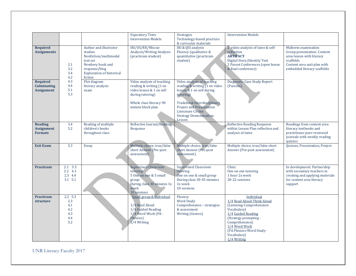|                                                            |                                                          |                                                                                                                                                            | <b>Expository Texts</b><br><b>Intervention Models</b>                                                                                                 | Strategies<br>Technology-based practices<br>& curricular materials                                                                                                                                                                       | <b>Intervention Models</b>                                                                                                                                                                                                      |                                                                                                                                                            |
|------------------------------------------------------------|----------------------------------------------------------|------------------------------------------------------------------------------------------------------------------------------------------------------------|-------------------------------------------------------------------------------------------------------------------------------------------------------|------------------------------------------------------------------------------------------------------------------------------------------------------------------------------------------------------------------------------------------|---------------------------------------------------------------------------------------------------------------------------------------------------------------------------------------------------------------------------------|------------------------------------------------------------------------------------------------------------------------------------------------------------|
| <b>Required</b><br><b>Assignments</b>                      | 2.1<br>3.2<br>3.4<br>4.2                                 | Author and illustrator<br>studies<br>Nonfiction/multimodal<br>text set<br>Newbery book and<br>response/blog<br><b>Exploration of historical</b><br>fiction | IRI/OS/RR/Miscue<br>Analysis/Writing Analysis<br>(practicum student)                                                                                  | IRI & QSI analysis<br>Fluency (qualitative &<br>quantitative (practicum<br>student)                                                                                                                                                      | 2 video analysis of tutee & self-<br>reflection<br><b>ARTIFACT</b><br>Digital Story/Identity Text<br>2 Parent Conferences (open house<br>& final conference)                                                                    | Midterm examination<br>Group presentation: Content<br>area lesson with literacy<br>scaffolds<br>Content area unit plan with<br>embedded literacy scaffolds |
| <b>Required</b><br><b>Culminating</b><br><b>Assignment</b> | 4.3<br>4.4<br>5.1<br>5.3                                 | Plot diagram<br>literary analysis<br>exam                                                                                                                  | Video analysis of teaching<br>reading & writing (1 on<br>video lesson & 1 on self<br>during tutoring)<br>Whole class literacy 90<br>minute block plan | Video analysis of teaching<br>reading & writing (1 on video<br>lesson & 1 on self during<br>tutoring)<br>Tradebook Interdisciplinary<br><b>Project and Presentation</b><br>Literature Circles<br><b>Strategy Demonstration</b><br>Lesson | Diagnostic Case Study Report<br>(Parents)                                                                                                                                                                                       |                                                                                                                                                            |
| <b>Reading</b><br><b>Assignment</b><br><b>Formats</b>      | 3.4<br>5.2                                               | Reading of multiple<br>children's books<br>throughout class                                                                                                | Reflective Journal/Reading<br>Response                                                                                                                |                                                                                                                                                                                                                                          | <b>Reflective Reading Response</b><br>within Lesson Plan reflection and<br>analysis of tutee                                                                                                                                    | Readings from content area<br>literacy textbooks and<br>practitioner peer-reviewed<br>journals with weekly reading<br>quizzes                              |
| <b>Exit Exam</b>                                           | 5.3                                                      | Essay                                                                                                                                                      | Multiple choice, true/false<br>short Answer (Pre-post<br>assessment)                                                                                  | Multiple choice, true/false<br>short Answer (Pre-post<br>assessment)                                                                                                                                                                     | Multiple choice, true/false short<br>Answer (Pre-post assessment)                                                                                                                                                               | Quizzes, Presentation, Project                                                                                                                             |
| <b>Practicum</b>                                           | 2.1 3.3<br>$2.2 \quad 4.1$<br>2.3 4.4<br>$3.1\ 5.1$      |                                                                                                                                                            | <b>Supervised Classroom</b><br>tutoring<br>5 One on one & 5 small<br>group<br>During class 30 minutes 1x<br>week<br>10 sessions                       | <b>Supervised Classroom</b><br>tutoring<br>One on one & small group<br>During class 30-45 minutes<br>1x week<br>10 sessions                                                                                                              | Clinic<br>One on one tutoring<br>1 hour 2x week<br>20-22 sessions                                                                                                                                                               | In development: Partnership<br>with secondary teachers in<br>creating and applying materials<br>for content area literacy<br>support                       |
| <b>Practicum</b><br>structure                              | $2.2\quad 5.3$<br>2.3<br>4.1<br>4.2<br>4.3<br>4.4<br>5.2 |                                                                                                                                                            | Small group & individual<br>1/4 Read Aloud<br>1/4 Guided Reading<br>1/4 Word Work (PA-<br>Phonics)<br>1/4 Writing                                     | Fluency<br><b>Word Study</b><br>Comprehension - strategies<br>& assessment<br>Writing (Genres)                                                                                                                                           | Individual<br>1/4 Read Aloud-Think Aloud<br>(Listening Comprehension-<br>Vocabulary)<br>1/4 Guided Reading<br>(Strategy prompting -<br>Comprehension)<br>1/4 Word Work<br>(PA Phonics-Word Study-<br>Vocabulary)<br>1/4 Writing |                                                                                                                                                            |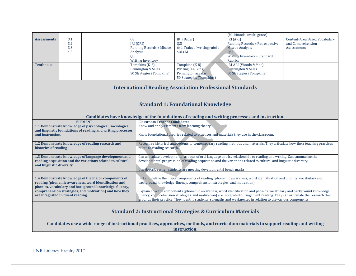|                    |     |                                 |                              | (Multimodal/multi genre)        |                               |
|--------------------|-----|---------------------------------|------------------------------|---------------------------------|-------------------------------|
| <b>Assessments</b> | 3.1 | <sub>OS</sub>                   | IRI (Bader)                  | IRI (ARI)                       | Content-Area Based Vocabulary |
|                    | 3.2 | IRI (QRI)                       | QSI                          | Running Records + Retrospective | and Comprehension             |
|                    | 3.3 | <b>Running Records + Miscue</b> | 6+1 Traits of writing rubric | <b>Miscue Analysis</b>          | Assessments                   |
|                    | 4.3 | Analysis                        | SOLOM                        | <b>QSI</b>                      |                               |
|                    |     | QSI                             |                              | Writing Inventory + Standard    |                               |
|                    |     | <b>Writing Inventory</b>        |                              | Rubrics                         |                               |
| <b>Textbooks</b>   |     | Tompkins (K-8)                  | Tompkins (K-8)               | IRI-ARI (Woods & Moe)           |                               |
|                    |     | Pennington & Salas              | Writing (Caukins)            | Pennington & Salas              |                               |
|                    |     | 50 Strategies (Tompkins)        | Pennington & Salas           | 50 Strategies (Tompkins)        |                               |
|                    |     |                                 | 50 Strategies (Tompkins)     |                                 |                               |
|                    |     |                                 |                              |                                 |                               |

### **International Reading Association Professional Standards**

#### **Standard 1: Foundational Knowledge**

|                                                             | Candidates have knowledge of the foundations of reading and writing processes and instruction.                                 |  |  |
|-------------------------------------------------------------|--------------------------------------------------------------------------------------------------------------------------------|--|--|
| <b>ELEMENT</b>                                              | <b>Classroom Teacher Candidates</b>                                                                                            |  |  |
| 1.1 Demonstrate knowledge of psychological, sociological,   | Know and apply elements from learning theory.                                                                                  |  |  |
| and linguistic foundations of reading and writing processes |                                                                                                                                |  |  |
| and instruction.                                            | Know foundational theories related to practices and materials they use in the classroom.                                       |  |  |
|                                                             |                                                                                                                                |  |  |
| 1.2 Demonstrate knowledge of reading research and           | Recognize historical antecedents to contemporary reading methods and materials. They articulate how their teaching practices   |  |  |
| histories of reading                                        | relate to reading research.                                                                                                    |  |  |
|                                                             |                                                                                                                                |  |  |
| 1.3 Demonstrate knowledge of language development and       | Can articulate developmental aspects of oral language and its relationship to reading and writing. Can summarize the           |  |  |
| reading acquisition and the variations related to cultural  | developmental progression of reading acquisition and the variations related to cultural and linguistic diversity.              |  |  |
| and linguistic diversity.                                   |                                                                                                                                |  |  |
|                                                             | Can describe when students are meeting developmental bench marks.                                                              |  |  |
|                                                             |                                                                                                                                |  |  |
| 1.4 Demonstrate knowledge of the major components of        | List and define the major components of reading (phonemic awareness, word identification and phonics, vocabulary and           |  |  |
| reading (phonemic awareness, word identification and        | background knowledge, fluency, comprehension strategies, and motivation).                                                      |  |  |
| phonics, vocabulary and background knowledge, fluency,      |                                                                                                                                |  |  |
| comprehension strategies, and motivation) and how they      | Explain how the components (phonemic awareness, word identification and phonics, vocabulary and background knowledge,          |  |  |
| are integrated in fluent reading.                           | fluency, comprehension strategies, and motivation) are integrated during fluent reading. They can articulate the research that |  |  |
|                                                             | grounds their practice. They identify students' strengths and weaknesses in relation to the various components.                |  |  |

# **Standard 2: Instructional Strategies & Curriculum Materials**

**Candidates use a wide range of instructional practices, approaches, methods, and curriculum materials to support reading and writing instruction.**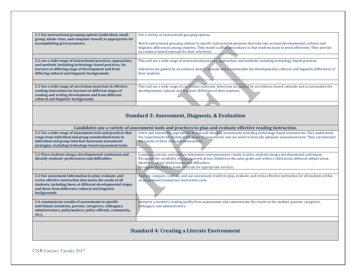| 2.1 Use instructional grouping options (individual, small-   | Use a variety or instructional grouping options.                                                                                                                             |
|--------------------------------------------------------------|------------------------------------------------------------------------------------------------------------------------------------------------------------------------------|
| group, whole-class, and computer based) as appropriate for   |                                                                                                                                                                              |
| accomplishing given purposes.                                | Match instructional grouping options to specific instructional purposes that take into account developmental, cultural, and                                                  |
|                                                              | linguistic differences among students. They model scaffold procedures so that students learn to work effectively. They provide                                               |
|                                                              | an evidence-based rationale for their selections.                                                                                                                            |
|                                                              |                                                                                                                                                                              |
| 2.2 use a wide range of instructional practices, approaches, | Plan and use a wide range of instructional practices, approaches, and methods, including technology-based practices.                                                         |
| and methods. Including technology-based practices, for       |                                                                                                                                                                              |
| learners at differing stage of development and from          | Selections are guided by an evidence-based rationale and accommodate the developmental, cultural, and linguistic differences of                                              |
| differing cultural and linguistic backgrounds.               | their students.                                                                                                                                                              |
|                                                              |                                                                                                                                                                              |
|                                                              |                                                                                                                                                                              |
| 2.3 Use a wide range of curriculum materials in effective    | Plan and use a wide range of curriculum materials. Selections are guided by an evidence-based rationale and accommodate the                                                  |
| reading instruction for learners at different stages of      | developmental, cultural, and linguistic difference of their students.                                                                                                        |
| reading and writing development and from different           |                                                                                                                                                                              |
| cultural and linguistic backgrounds.                         |                                                                                                                                                                              |
|                                                              |                                                                                                                                                                              |
|                                                              | <b>Standard 3: Assessment, Diagnosis, &amp; Evaluation</b><br>Candidates use a variety of assessment tools and practices to plan and evaluate effective reading instruction. |
| 3.1 Use a wide range of assessment tools and practices that  | Select and administer appropriate formal and informal assessments including technology-based assessments. They understand                                                    |
| range from individual and group standardized tests to        | the requirements for technical adequacy of assessments and can select technically adequate assessment tools. They can interpret                                              |
| individual and group informal classroom assessment           | the results of these tests and assessments.                                                                                                                                  |
| strategies, including technology-based assessment tools.     |                                                                                                                                                                              |
|                                                              |                                                                                                                                                                              |
| 3.2 Place students along a developmental continuum and       | Compare, contrast, and analyze information and assessment results to place students along a developmental continuum.                                                         |
| identify students' proficiencies and difficulties            | Recognize the variability in reading levels across children in the same grade and within a child across different subject areas.                                             |
|                                                              | Identify students' proficiencies and difficulties.                                                                                                                           |
|                                                              | Recognize the need to make referrals for appropriate services.                                                                                                               |
|                                                              |                                                                                                                                                                              |
| 3.3 Use assessment information to plan, evaluate, and        | Analyze, compare, contrast, and use assessment results to plan, evaluate, and revise effective instruction for all students within                                           |
| revise effective instruction that meets the needs of all     | an assessment/evaluation/instruction cycle.                                                                                                                                  |
| students, including those at different developmental stages  |                                                                                                                                                                              |
| and those from difference cultural and linguistic            |                                                                                                                                                                              |
| backgrounds.                                                 |                                                                                                                                                                              |
|                                                              |                                                                                                                                                                              |
| 3.4 communicate results of assessments to specific           | Interpret a student's reading profile from assessments and communicate the results to the student, parents, caregivers,                                                      |
| individuals (students, parents, caregivers, colleagues,      | colleagues, and administrators.                                                                                                                                              |
| administrators, policymakers, policy officials, community,   |                                                                                                                                                                              |
| etc.).                                                       |                                                                                                                                                                              |

# **Standard 4: Creating a Literate Environment**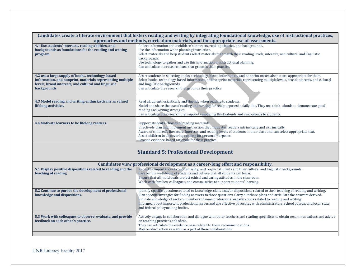| Candidates create a literate environment that fosters reading and writing by integrating foundational knowledge, use of instructional practices,                                        |                                                                                                                                                                                                                                                                                                                                                                                                             |  |  |
|-----------------------------------------------------------------------------------------------------------------------------------------------------------------------------------------|-------------------------------------------------------------------------------------------------------------------------------------------------------------------------------------------------------------------------------------------------------------------------------------------------------------------------------------------------------------------------------------------------------------|--|--|
| approaches and methods, curriculum materials, and the appropriate use of assessments.                                                                                                   |                                                                                                                                                                                                                                                                                                                                                                                                             |  |  |
| 4.1 Use students' interests, reading abilities, and<br>backgrounds as foundations for the reading and writing                                                                           | Collect information about children's interests, reading abilities, and backgrounds.<br>Use the information when planning instruction.                                                                                                                                                                                                                                                                       |  |  |
| program.                                                                                                                                                                                | Select materials and help students select materials that match their reading levels, interests, and cultural and linguistic                                                                                                                                                                                                                                                                                 |  |  |
|                                                                                                                                                                                         | backgrounds.                                                                                                                                                                                                                                                                                                                                                                                                |  |  |
|                                                                                                                                                                                         | Use technology to gather and use this information in instructional planning.                                                                                                                                                                                                                                                                                                                                |  |  |
|                                                                                                                                                                                         | Can articulate the research base that grounds their practice.                                                                                                                                                                                                                                                                                                                                               |  |  |
| 4.2 use a large supply of books, technology-based<br>information, and nonprint, materials representing multiple<br>levels, broad interests, and cultural and linguistic<br>backgrounds. | Assist students in selecting books, technology-based information, and nonprint materials that are appropriate for them.<br>Select books, technology-based information, and nonprint materials representing multiple levels, broad interests, and cultural<br>and linguistic backgrounds.<br>Can articulate the research that grounds their practice.                                                        |  |  |
|                                                                                                                                                                                         |                                                                                                                                                                                                                                                                                                                                                                                                             |  |  |
| 4.3 Model reading and writing enthusiastically as valued<br>lifelong activities.                                                                                                        | Read aloud enthusiastically and fluently when reading to students.<br>Model and share the use of reading and writing for real purposes in daily like. They use think-alouds to demonstrate good<br>reading and writing strategies.<br>Can articulate the research that supports modeling think-alouds and read-alouds to students.                                                                          |  |  |
|                                                                                                                                                                                         |                                                                                                                                                                                                                                                                                                                                                                                                             |  |  |
| 4.4 Motivate learners to be lifelong readers.                                                                                                                                           | Support students' choices of reading materials.<br>Effectively plan and implement instruction that motivates readers intrinsically and extrinsically.<br>Aware of children's literature, interests, and reading levels of students in their class and can select appropriate text.<br>Assist children in discovering reading for personal purposes.<br>Provide evidence-based rationale for their practice. |  |  |

# **Standard 5: Professional Development**

| Candidates view professional development as a career-long effort and responsibility.             |                                                                                                                                                                                                                                                                                                                                                                                                                                                                                                                                                |  |
|--------------------------------------------------------------------------------------------------|------------------------------------------------------------------------------------------------------------------------------------------------------------------------------------------------------------------------------------------------------------------------------------------------------------------------------------------------------------------------------------------------------------------------------------------------------------------------------------------------------------------------------------------------|--|
| 5.1 Display positive dispositions related to reading and the<br>teaching of reading.             | Know the importance of confidentiality, and respect students and their cultural and linguistic backgrounds.<br>Care for the well-being of students and believe that all students can learn.                                                                                                                                                                                                                                                                                                                                                    |  |
|                                                                                                  | Ensure that all individuals project ethical and caring attitudes in the classroom.                                                                                                                                                                                                                                                                                                                                                                                                                                                             |  |
|                                                                                                  | Work with families, colleagues, and communities to support students' learning.                                                                                                                                                                                                                                                                                                                                                                                                                                                                 |  |
|                                                                                                  |                                                                                                                                                                                                                                                                                                                                                                                                                                                                                                                                                |  |
| 5.2 Continue to pursue the development of professional<br>knowledge and dispositions.            | Identify specific questions related to knowledge, skills and/or dispositions related to their teaching of reading and writing.<br>Plan specific strategies for finding answers to those questions. Carry out those plans and articulate the answers derived.<br>Indicate knowledge of and are members of some professional organizations related to reading and writing.<br>Informed about important professional issues and are effective advocates with administrators, school boards, and local, state,<br>and federal policymaking bodies. |  |
|                                                                                                  |                                                                                                                                                                                                                                                                                                                                                                                                                                                                                                                                                |  |
| 5.3 Work with colleagues to observe, evaluate, and provide<br>feedback on each other's practice. | Actively engage in collaboration and dialogue with other teachers and reading specialists to obtain recommendations and advice<br>on teaching practices and ideas.<br>They can articulate the evidence base related to these recommendations.<br>May conduct action research as a part of these collaborations.                                                                                                                                                                                                                                |  |
|                                                                                                  |                                                                                                                                                                                                                                                                                                                                                                                                                                                                                                                                                |  |